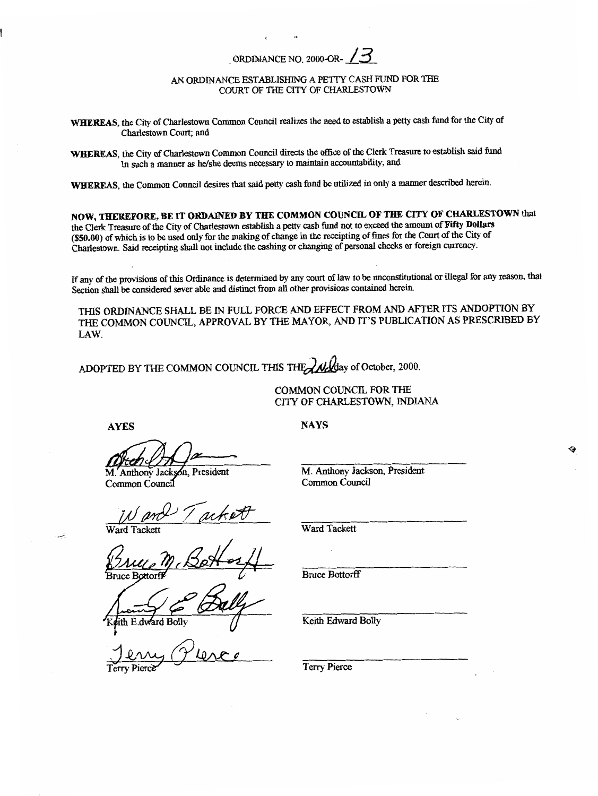## ORDINANCE NO. **2000-0R-** *13*

## *AN* ORDINANCE establishing A PETTY CASH FUND FOR THE COURT OF THE CITY OF CHARLESTOWN

**WHEREAS,** the City of Charlestown Common Council realizes the need to establish a **petty** cash fund for the City of Charlestown Court; and

**WHEREAS,** the City **of** Charlestown Common Council directs the **office** of the Clerk **Treasure** to establish said fund In such a manner **as** he/she deems necessary to maintain accountability; and

**WHEREAS,** the Common Council desires that said **petty** cash fund be **utilized** in only a manner described herein.

**NOW,** THEREFORE, **BE IT ORDAINED BY** THE **COMMON COUNCIL OF** THE **CITY OF CHARLESTOWN** that the Clerk **Treasure** of the City of Charlestown establish a **petty** cash **fund** not to **exceed** the amount of Fifty Dollars **(\$50.00)** of which is to be used **only** for the making of change in the receipting of fines for the Court of the City of Charlestown. Said receipting shall not include the cashing or **changing** of **personal** checks or foreign currency.

If any of the provisions of this Ordinance is determined **by** any court of law to be nuconstitutional or illegal for any reason, that Section shall be considered sever able and **distinct** from all other provisions **contained** herein.

THIS ORDINANCE SHALL BE IN FULL FORCE AND EFFECT FROM AND AFTER ITS ANDOPTION BY THE COMMON COUNCIL, APPROVAL BY THE MAYOR, *AND* IT'S PUBLICATION AS PRESCRIBED BY LAW.

ADOPTED BY THE COMMON COUNCIL THIS THE **We delt** ay of October, 2000.

COMMON COUNCIL **FOR** THE **CITY** OF CHARLESTOWN, INDIANA

**AYES NAYS** 

M. Anthony Jackson, President Common Council

*Ward tackett* 

Ward Tack

dward Bolly

M. Anthony **Jackson,** President Common Council

Ward Tackett

Bruce Bottorff

Keith Edward Bolly

Terry Pierce